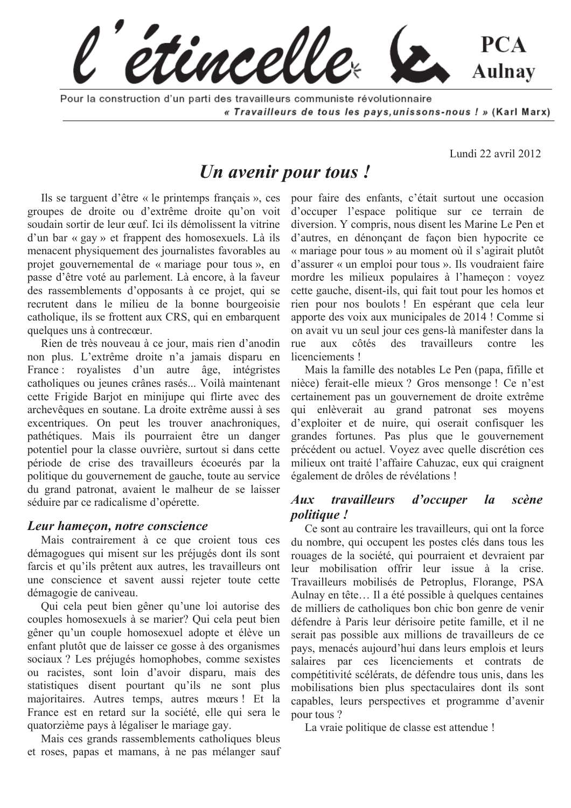tincelle **PCA Aulnay** 

Pour la construction d'un parti des travailleurs communiste révolutionnaire « Travailleurs de tous les pays, unissons-nous ! » (Karl Marx)

Lundi 22 avril 2012

# Un avenir pour tous!

Ils se targuent d'être « le printemps français », ces groupes de droite ou d'extrême droite qu'on voit soudain sortir de leur œuf. Ici ils démolissent la vitrine d'un bar « gay » et frappent des homosexuels. Là ils menacent physiquement des journalistes favorables au projet gouvernemental de « mariage pour tous », en passe d'être voté au parlement. Là encore, à la faveur des rassemblements d'opposants à ce projet, qui se recrutent dans le milieu de la bonne bourgeoisie catholique, ils se frottent aux CRS, qui en embarquent quelques uns à contrecœur.

Rien de très nouveau à ce jour, mais rien d'anodin non plus. L'extrême droite n'a jamais disparu en France: royalistes d'un autre âge, intégristes catholiques ou jeunes crânes rasés... Voilà maintenant cette Frigide Barjot en minijupe qui flirte avec des archevêques en soutane. La droite extrême aussi à ses excentriques. On peut les trouver anachroniques, pathétiques. Mais ils pourraient être un danger potentiel pour la classe ouvrière, surtout si dans cette période de crise des travailleurs écoeurés par la politique du gouvernement de gauche, toute au service du grand patronat, avaient le malheur de se laisser séduire par ce radicalisme d'opérette.

#### Leur hameçon, notre conscience

Mais contrairement à ce que croient tous ces démagogues qui misent sur les préjugés dont ils sont farcis et qu'ils prêtent aux autres, les travailleurs ont une conscience et savent aussi rejeter toute cette démagogie de caniveau.

Qui cela peut bien gêner qu'une loi autorise des couples homosexuels à se marier? Qui cela peut bien gêner qu'un couple homosexuel adopte et élève un enfant plutôt que de laisser ce gosse à des organismes sociaux? Les préjugés homophobes, comme sexistes ou racistes, sont loin d'avoir disparu, mais des statistiques disent pourtant qu'ils ne sont plus majoritaires. Autres temps, autres mœurs! Et la France est en retard sur la société, elle qui sera le quatorzième pays à légaliser le mariage gay.

Mais ces grands rassemblements catholiques bleus et roses, papas et mamans, à ne pas mélanger sauf pour faire des enfants, c'était surtout une occasion d'occuper l'espace politique sur ce terrain de diversion. Y compris, nous disent les Marine Le Pen et d'autres, en dénonçant de façon bien hypocrite ce « mariage pour tous » au moment où il s'agirait plutôt d'assurer « un emploi pour tous ». Ils voudraient faire mordre les milieux populaires à l'hameçon : voyez cette gauche, disent-ils, qui fait tout pour les homos et rien pour nos boulots! En espérant que cela leur apporte des voix aux municipales de 2014 ! Comme si on avait vu un seul jour ces gens-là manifester dans la côtés des travailleurs rue.  $a<sub>11X</sub>$ contre  $les$ licenciements!

Mais la famille des notables Le Pen (papa, fifille et nièce) ferait-elle mieux ? Gros mensonge ! Ce n'est certainement pas un gouvernement de droite extrême qui enlèverait au grand patronat ses moyens d'exploiter et de nuire, qui oserait confisquer les grandes fortunes. Pas plus que le gouvernement précédent ou actuel. Voyez avec quelle discrétion ces milieux ont traité l'affaire Cahuzac, eux qui craignent également de drôles de révélations !

#### *travailleurs*  $Aux$ d'occuper  $l_{a}$ scène *politique!*

Ce sont au contraire les travailleurs, qui ont la force du nombre, qui occupent les postes clés dans tous les rouages de la société, qui pourraient et devraient par leur mobilisation offrir leur issue à la crise. Travailleurs mobilisés de Petroplus, Florange, PSA Aulnay en tête... Il a été possible à quelques centaines de milliers de catholiques bon chic bon genre de venir défendre à Paris leur dérisoire petite famille, et il ne serait pas possible aux millions de travailleurs de ce pays, menacés aujourd'hui dans leurs emplois et leurs salaires par ces licenciements et contrats de compétitivité scélérats, de défendre tous unis, dans les mobilisations bien plus spectaculaires dont ils sont capables, leurs perspectives et programme d'avenir pour tous?

La vraie politique de classe est attendue !